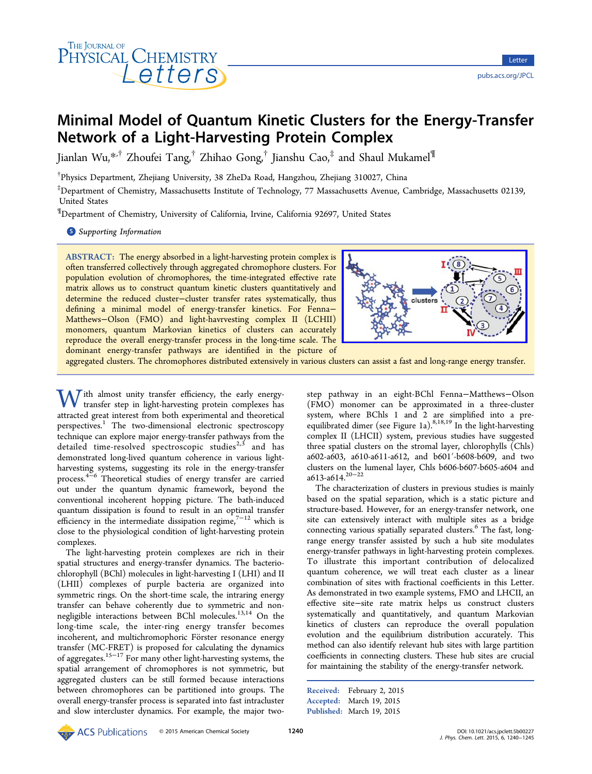

# Minimal Model of Quantum Kinetic Clusters for the Energy-Transfer Network of a Light-Harvesting Protein Complex

Jianlan Wu,\*<sup>+</sup> Zhoufei Tang,<sup>†</sup> Zhihao Gong,<sup>†</sup> Jianshu Cao,<sup>‡</sup> and Shaul Mukamel<sup>¶</sup>

† Physics Depa[rtm](#page-4-0)ent, Zhejiang University, 38 ZheDa Road, Hangzhou, Zhejiang 310027, China

‡ Department of Chemistry, Massachusetts Institute of Technology, 77 Massachusetts Avenue, Cambridge, Massachusetts 02139, United States

¶ Department of Chemistry, University of California, Irvine, California 92697, United States

**S** Supporting Information

[AB](#page-4-0)STRACT: [The energy ab](#page-4-0)sorbed in a light-harvesting protein complex is often transferred collectively through aggregated chromophore clusters. For population evolution of chromophores, the time-integrated effective rate matrix allows us to construct quantum kinetic clusters quantitatively and determine the reduced cluster−cluster transfer rates systematically, thus defining a minimal model of energy-transfer kinetics. For Fenna− Matthews−Olson (FMO) and light-havrvesting complex II (LCHII) monomers, quantum Markovian kinetics of clusters can accurately reproduce the overall energy-transfer process in the long-time scale. The dominant energy-transfer pathways are identified in the picture of



aggregated clusters. The chromophores distributed extensively in various clus[ters can assist a fast and long-range energy transfer.](http://pubs.acs.org/action/showImage?doi=10.1021/acs.jpclett.5b00227&iName=master.img-000.jpg&w=190&h=93)

With almost unity transfer efficiency, the early energytransfer step in light-harvesting protein complexes has attracted great interest from both experimental and theoretical perspectives.<sup>1</sup> The two-dimensional electronic spectroscopy technique can explore major energy-transfer pathways from the detailed ti[m](#page-4-0)e-resolved spectroscopic studies $2,3$  and has demonstrated long-lived quantum coherence in various lightharvesting systems, suggesting its role in the e[ner](#page-4-0)gy-transfer process.4−<sup>6</sup> Theoretical studies of energy transfer are carried out under the quantum dynamic framework, beyond the conven[tiona](#page-4-0)l incoherent hopping picture. The bath-induced quantum dissipation is found to result in an optimal transfer efficiency in the intermediate dissipation regime, $7^{-12}$  which is close to the physiological condition of light-harvesting protein complexes.

The light-harvesting protein complexes are rich in their spatial structures and energy-transfer dynamics. The bacteriochlorophyll (BChl) molecules in light-harvesting I (LHI) and II (LHII) complexes of purple bacteria are organized into symmetric rings. On the short-time scale, the intraring energy transfer can behave coherently due to symmetric and nonnegligible interactions between BChl molecules.<sup>13,14</sup> On the long-time scale, the inter-ring energy transfer becomes incoherent, and multichromophoric Förster reso[nanc](#page-4-0)e energy transfer (MC-FRET) is proposed for calculating the dynamics of aggregates.15−<sup>17</sup> For many other light-harvesting systems, the spatial arrangement of chromophores is not symmetric, but aggregated c[lusters](#page-5-0) can be still formed because interactions between chromophores can be partitioned into groups. The overall energy-transfer process is separated into fast intracluster and slow intercluster dynamics. For example, the major twostep pathway in an eight-BChl Fenna−Matthews−Olson (FMO) monomer can be approximated in a three-cluster system, where BChls 1 and 2 are simplified into a preequilibrated dimer (see Figure 1a).<sup>8,18,19</sup> In the light-harvesting complex II (LHCII) system, previous studies have suggested three spatial clusters on the st[ro](#page-1-0)m[a](#page-4-0)[l laye](#page-5-0)r, chlorophylls (Chls) a602-a603, a610-a611-a612, and b601′-b608-b609, and two clusters on the lumenal layer, Chls b606-b607-b605-a604 and  $a613-a614$ <sup>20−22</sup>

The characterization of clusters in previous studies is mainly based on [the sp](#page-5-0)atial separation, which is a static picture and structure-based. However, for an energy-transfer network, one site can extensively interact with multiple sites as a bridge connecting various spatially separated clusters.<sup>6</sup> The fast, longrange energy transfer assisted by such a hub site modulates energy-transfer pathways in light-harvesting pr[o](#page-4-0)tein complexes. To illustrate this important contribution of delocalized quantum coherence, we will treat each cluster as a linear combination of sites with fractional coefficients in this Letter. As demonstrated in two example systems, FMO and LHCII, an effective site−site rate matrix helps us construct clusters systematically and quantitatively, and quantum Markovian kinetics of clusters can reproduce the overall population evolution and the equilibrium distribution accurately. This method can also identify relevant hub sites with large partition coefficients in connecting clusters. These hub sites are crucial for maintaining the stability of the energy-transfer network.

Received: February 2, 2015 Accepted: March 19, 2015 Published: March 19, 2015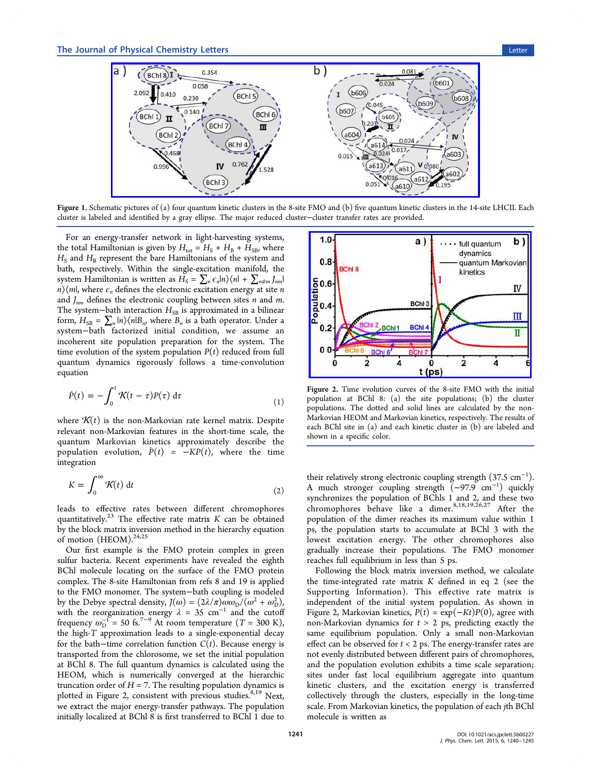<span id="page-1-0"></span>

Figure 1. Schem[atic pictures of \(a\) four quantum kinetic clusters in the 8-site FMO and \(b\)](http://pubs.acs.org/action/showImage?doi=10.1021/acs.jpclett.5b00227&iName=master.img-001.jpg&w=384&h=137) five quantum kinetic clusters in the 14-site LHCII. Each cluster is labeled and identified by a gray ellipse. The major reduced cluster−cluster transfer rates are provided.

For an energy-transfer network in light-harvesting systems, the total Hamiltonian is given by  $H_{\text{tot}} = H_{\text{S}} + H_{\text{B}} + H_{\text{SB}}$ , where  $H<sub>S</sub>$  and  $H<sub>B</sub>$  represent the bare Hamiltonians of the system and bath, respectively. Within the single-excitation manifold, the system Hamiltonian is written as  $H_S = \sum_n \epsilon_n |n\rangle\langle n| + \sum_{n \neq m} J_{nn}|$  $n \rangle \langle m|$ , where  $\epsilon_n$  defines the electronic excitation energy at site  $n$ and  $J_{nm}$  defines the electronic coupling between sites n and m. The system−bath interaction  $H_{SB}$  is approximated in a bilinear form,  $H_{SB} = \sum_{n} |n\rangle\langle n|B_n$ , where  $B_n$  is a bath operator. Under a system−bath factorized initial condition, we assume an incoherent site population preparation for the system. The time evolution of the system population  $P(t)$  reduced from full quantum dynamics rigorously follows a time-convolution equation

$$
\dot{P}(t) = -\int_0^t \mathcal{K}(t-\tau)P(\tau) d\tau \tag{1}
$$

where  $\mathcal{K}(t)$  is the non-Markovian rate kernel matrix. Despite relevant non-Markovian features in the short-time scale, the quantum Markovian kinetics approximately describe the population evolution,  $\dot{P}(t) = -KP(t)$ , where the time integration

$$
K = \int_0^\infty \mathcal{K}(t) \, \mathrm{d}t \tag{2}
$$

leads to effective rates between different chromophores quantitatively.<sup>23</sup> The effective rate matrix  $K$  can be obtained by the block matrix inversion method in the hierarchy equation of motion ([HEO](#page-5-0)M). $24,25$ 

Our first example is the FMO protein complex in green sulfur bacteria. Rece[nt e](#page-5-0)xperiments have revealed the eighth BChl molecule locating on the surface of the FMO protein complex. The 8-site Hamiltonian from refs 8 and 19 is applied to the FMO monomer. The system−bath coupling is modeled by the Debye spectral density,  $J(\omega) = (2\lambda/\pi)\omega \omega_D/(\omega^2 + \omega_D^2)$  $J(\omega) = (2\lambda/\pi)\omega \omega_D/(\omega^2 + \omega_D^2)$  $J(\omega) = (2\lambda/\pi)\omega \omega_D/(\omega^2 + \omega_D^2)$ , with the reorganization energy  $\lambda = 35$  $\lambda = 35$  $\lambda = 35$  cm<sup>-1</sup> and the cutoff frequency  $\omega_D^{-1}$  = 50 fs.<sup>7−9</sup> At room temperature (T = 300 K), the high-T approximation leads to a single-exponential decay for th[e](#page-4-0) b[at](#page-4-0)h–time correlation function  $C(t)$ . Because energy is transported from the chlorosome, we set the initial population at BChl 8. The full quantum dynamics is calculated using the HEOM, which is numerically converged at the hierarchic truncation order of  $H = 7$ . The resulting population dynamics is plotted in Figure 2, consistent with previous studies.<sup>8,19</sup> Next, we extract the major energy-transfer pathways. The population initially localized at BChl 8 is first transferred to BCh[l](#page-4-0) [1 d](#page-5-0)ue to



Figure 2. [Time evolution curves of the 8-site FMO with the initia](http://pubs.acs.org/action/showImage?doi=10.1021/acs.jpclett.5b00227&iName=master.img-002.jpg&w=230&h=150)l population at BChl 8: (a) the site populations; (b) the cluster populations. The dotted and solid lines are calculated by the non-Markovian HEOM and Markovian kinetics, respectively. The results of each BChl site in (a) and each kinetic cluster in (b) are labeled and shown in a specific color.

their relatively strong electronic coupling strength (37.5  $\rm cm^{-1}$ ). A much stronger coupling strength (−97.9 cm<sup>−</sup><sup>1</sup> ) quickly synchronizes the population of BChls 1 and 2, and these two chromophores behave like a dimer. $8,18,19,26,27$  After the population of the dimer reaches its maximum value within 1 ps, the population starts to accumulat[e](#page-4-0) [at BChl](#page-5-0) 3 with the lowest excitation energy. The other chromophores also gradually increase their populations. The FMO monomer reaches full equilibrium in less than 5 ps.

Following the block matrix inversion method, we calculate the time-integrated rate matrix  $K$  defined in eq 2 (see the Supporting Information). This effective rate matrix is independent of the initial system population. As shown in [Figure 2, Markovian kineti](#page-4-0)cs,  $P(t) = \exp(-Kt)P(0)$ , agree with non-Markovian dynamics for  $t > 2$  ps, predicting exactly the same equilibrium population. Only a small non-Markovian effect can be observed for  $t < 2$  ps. The energy-transfer rates are not evenly distributed between different pairs of chromophores, and the population evolution exhibits a time scale separation; sites under fast local equilibrium aggregate into quantum kinetic clusters, and the excitation energy is transferred collectively through the clusters, especially in the long-time scale. From Markovian kinetics, the population of each jth BChl molecule is written as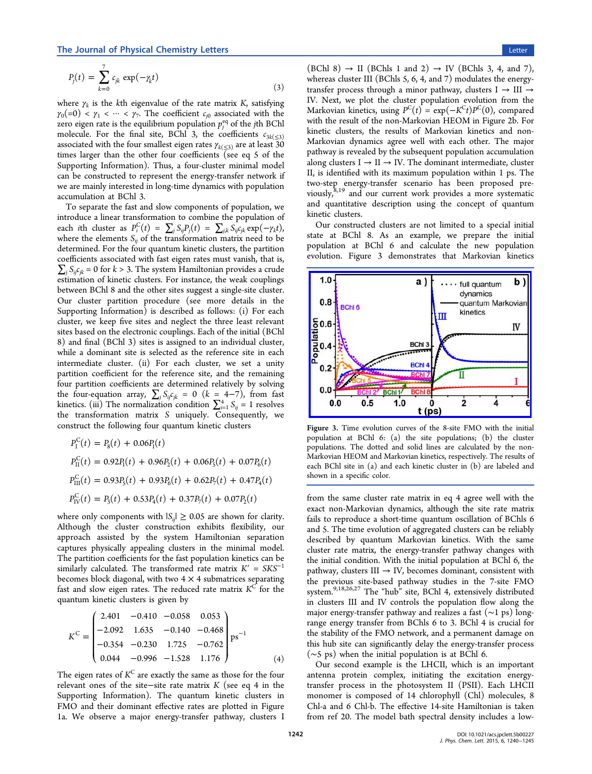$$
P_j(t) = \sum_{k=0}^{7} c_{jk} \exp(-\gamma_k t)
$$
\n(3)

where  $\gamma_k$  is the kth eigenvalue of the rate matrix K, satisfying  $\gamma_0(=0) < \gamma_1 < \cdots < \gamma_7$ . The coefficient  $c_{i0}$  associated with the zero eigen rate is the equilibrium population  $p_i^{\text{eq}}$  of the jth BChl molecule. For the final site, BChl 3, the coefficients  $c_{3k(\leq3)}$ associated with the four smallest eigen rates  $\gamma_{k(\leq 3)}$  are at least 30 times larger than the other four coefficients (see eq 5 of the Supporting Information). Thus, a four-cluster minimal model can be constructed to represent the energy-transfer network if [we are mainly interested](#page-4-0) in long-time dynamics with population accumulation at BChl 3.

To separate the fast and slow components of population, we introduce a linear transformation to combine the population of each *i*th cluster as  $P_i^C(t) = \sum_j S_{ij} P_j(t) = \sum_{j,k} S_{ij}^T \exp(-\gamma_k t)$ , where the elements  $S_{ij}$  of the transformation matrix need to be determined. For the four quantum kinetic clusters, the partition coefficients associated with fast eigen rates must vanish, that is,  $\sum_i S_{ij}c_{ik} = 0$  for  $k > 3$ . The system Hamiltonian provides a crude estimation of kinetic clusters. For instance, the weak couplings between BChl 8 and the other sites suggest a single-site cluster. Our cluster partition procedure (see more details in the Supporting Information) is described as follows: (i) For each cluster, we keep five sites and neglect the three least relevant [sites based on the electro](#page-4-0)nic couplings. Each of the initial (BChl 8) and final (BChl 3) sites is assigned to an individual cluster, while a dominant site is selected as the reference site in each intermediate cluster. (ii) For each cluster, we set a unity partition coefficient for the reference site, and the remaining four partition coefficients are determined relatively by solving the four-equation array,  $\sum_j S_{ij} c_{jk} = 0$  (k = 4-7), from fast kinetics. (iii) The normalization condition  $\sum_{i=1}^{4} S_{ij} = 1$  resolves the transformation matrix S uniquely. Consequently, we construct the following four quantum kinetic clusters

$$
P_{\rm I}^{\rm C}(t) = P_8(t) + 0.06P_1(t)
$$
  
\n
$$
P_{\rm II}^{\rm C}(t) = 0.92P_1(t) + 0.96P_2(t) + 0.06P_5(t) + 0.07P_6(t)
$$
  
\n
$$
P_{\rm III}^{\rm C}(t) = 0.93P_5(t) + 0.93P_6(t) + 0.62P_7(t) + 0.47P_4(t)
$$
  
\n
$$
P_{\rm IV}^{\rm C}(t) = P_3(t) + 0.53P_4(t) + 0.37P_7(t) + 0.07P_2(t)
$$

where only components with  $|S_{ii}| \geq 0.05$  are shown for clarity. Although the cluster construction exhibits flexibility, our approach assisted by the system Hamiltonian separation captures physically appealing clusters in the minimal model. The partition coefficients for the fast population kinetics can be similarly calculated. The transformed rate matrix  $K' = S K S^{-1}$ becomes block diagonal, with two  $4 \times 4$  submatrices separating fast and slow eigen rates. The reduced rate matrix  $K<sup>C</sup>$  for the quantum kinetic clusters is given by

$$
K^{C} = \begin{pmatrix} 2.401 & -0.410 & -0.058 & 0.053 \\ -2.092 & 1.635 & -0.140 & -0.468 \\ -0.354 & -0.230 & 1.725 & -0.762 \\ 0.044 & -0.996 & -1.528 & 1.176 \end{pmatrix} \text{ps}^{-1}
$$
(4)

The eigen rates of  $K^C$  are exactly the same as those for the four relevant ones of the site−site rate matrix K (see eq 4 in the Supporting Information). The quantum kinetic clusters in FMO and their dominant effective rates are plotted in Figure [1a. We observe a majo](#page-4-0)r energy-transfer pathway, clusters I

 $(BChl 8) \rightarrow II$   $(BChl s 1 and 2) \rightarrow IV$   $(BChl s 3, 4, and 7)$ , whereas cluster III (BChls 5, 6, 4, and 7) modulates the energytransfer process through a minor pathway, clusters  $I \rightarrow III \rightarrow$ IV. Next, we plot the cluster population evolution from the Markovian kinetics, using  $P^{C}(t) = \exp(-K^{C}t)P^{C}(0)$ , compared with the result of the non-Markovian HEOM in Figure 2b. For kinetic clusters, the results of Markovian kinetics and non-Markovian dynamics agree well with each other. Th[e](#page-1-0) major pathway is revealed by the subsequent population accumulation along clusters  $I \rightarrow II \rightarrow IV$ . The dominant intermediate, cluster II, is identified with its maximum population within 1 ps. The two-step energy-transfer scenario has been proposed previously,8,19 and our current work provides a more systematic and quantitative description using the concept of quantum kinetic [c](#page-4-0)[lus](#page-5-0)ters.

Our constructed clusters are not limited to a special initial state at BChl 8. As an example, we prepare the initial population at BChl 6 and calculate the new population evolution. Figure 3 demonstrates that Markovian kinetics



Figure 3. [Time evolution curves of the 8-site FMO with the initia](http://pubs.acs.org/action/showImage?doi=10.1021/acs.jpclett.5b00227&iName=master.img-003.jpg&w=230&h=149)l population at BChl 6: (a) the site populations; (b) the cluster populations. The dotted and solid lines are calculated by the non-Markovian HEOM and Markovian kinetics, respectively. The results of each BChl site in (a) and each kinetic cluster in (b) are labeled and shown in a specific color.

from the same cluster rate matrix in eq 4 agree well with the exact non-Markovian dynamics, although the site rate matrix fails to reproduce a short-time quantum oscillation of BChls 6 and 5. The time evolution of aggregated clusters can be reliably described by quantum Markovian kinetics. With the same cluster rate matrix, the energy-transfer pathway changes with the initial condition. With the initial population at BChl 6, the pathway, clusters III  $\rightarrow$  IV, becomes dominant, consistent with the previous site-based pathway studies in the 7-site FMO system.9,18,26,27 The "hub" site, BChl 4, extensively distributed in clusters III and IV controls the population flow along the major [en](#page-4-0)[ergy-tr](#page-5-0)ansfer pathway and realizes a fast (∼1 ps) longrange energy transfer from BChls 6 to 3. BChl 4 is crucial for the stability of the FMO network, and a permanent damage on this hub site can significantly delay the energy-transfer process (∼5 ps) when the initial population is at BChl 6.

Our second example is the LHCII, which is an important antenna protein complex, initiating the excitation energytransfer process in the photosystem II (PSII). Each LHCII monomer is composed of 14 chlorophyll (Chl) molecules, 8 Chl-a and 6 Chl-b. The effective 14-site Hamiltonian is taken from ref 20. The model bath spectral density includes a low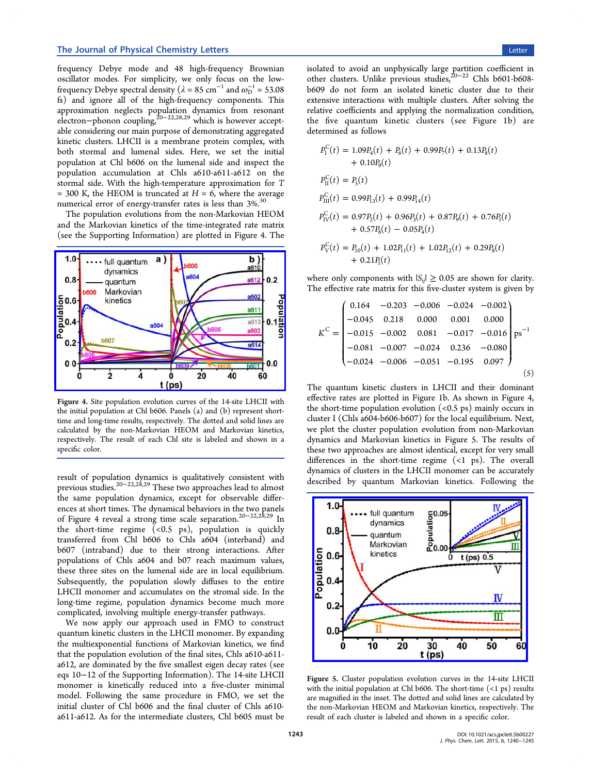frequency Debye mode and 48 high-frequency Brownian oscillator modes. For simplicity, we only focus on the lowfrequency Debye spectral density ( $\lambda = 85 \text{ cm}^{-1}$  and  $\omega_{\text{D}}^{-1} = 53.08$ fs) and ignore all of the high-frequency components. This approximation neglects population dynamics from resonant electron−phonon coupling,20−22,28,29 which is however acceptable considering our main purpose of demonstrating aggregated kinetic clusters. LHCII is [a membra](#page-5-0)ne protein complex, with both stormal and lumenal sides. Here, we set the initial population at Chl b606 on the lumenal side and inspect the population accumulation at Chls a610-a611-a612 on the stormal side. With the high-temperature approximation for T  $= 300$  K, the HEOM is truncated at  $H = 6$ , where the average numerical error of energy-transfer rates is less than 3%.<sup>30</sup>

The population evolutions from the non-Markovian HEOM and the Markovian kinetics of the time-integrated rate [m](#page-5-0)atrix (see the Supporting Information) are plotted in Figure 4. The



Figure 4. [Site population evolution curves of the 14-site LHCII with](http://pubs.acs.org/action/showImage?doi=10.1021/acs.jpclett.5b00227&iName=master.img-004.jpg&w=239&h=143) the initial population at Chl b606. Panels (a) and (b) represent shorttime and long-time results, respectively. The dotted and solid lines are calculated by the non-Markovian HEOM and Markovian kinetics, respectively. The result of each Chl site is labeled and shown in a specific color.

result of population dynamics is qualitatively consistent with previous studies.20−22,28,29 These two approaches lead to almost the same population dynamics, except for observable differences at short ti[me](#page-5-0)s[. The d](#page-5-0)ynamical behaviors in the two panels of Figure 4 reveal a strong time scale separation.20−22,28,29 In the short-time regime (<0.5 ps), population is quickly transferred from Chl b606 to Chls a604 (int[erband\) a](#page-5-0)nd b607 (intraband) due to their strong interactions. After populations of Chls a604 and b07 reach maximum values, these three sites on the lumenal side are in local equilibrium. Subsequently, the population slowly diffuses to the entire LHCII monomer and accumulates on the stromal side. In the long-time regime, population dynamics become much more complicated, involving multiple energy-transfer pathways.

We now apply our approach used in FMO to construct quantum kinetic clusters in the LHCII monomer. By expanding the multiexponential functions of Markovian kinetics, we find that the population evolution of the final sites, Chls a610-a611 a612, are dominated by the five smallest eigen decay rates (see eqs 10−12 of the Supporting Information). The 14-site LHCII monomer is kinetically reduced into a five-cluster minimal model. Following [the same procedure in](#page-4-0) FMO, we set the initial cluster of Chl b606 and the final cluster of Chls a610 a611-a612. As for the intermediate clusters, Chl b605 must be

isolated to avoid an unphysically large partition coefficient in other clusters. Unlike previous studies,20−<sup>22</sup> Chls b601-b608 b609 do not form an isolated kinetic cluster due to their extensive interactions with multiple cl[usters.](#page-5-0) After solving the relative coefficients and applying the normalization condition, the five quantum kinetic clusters (see Figure 1b) are determined as follows

$$
P_{\rm I}^{\rm C}(t) = 1.09P_4(t) + P_6(t) + 0.99P_7(t) + 0.13P_8(t)
$$
  
+ 0.10P\_9(t)  

$$
P_{\rm II}^{\rm C}(t) = P_5(t)
$$
  

$$
P_{\rm III}^{\rm C}(t) = 0.99P_{13}(t) + 0.99P_{14}(t)
$$
  

$$
P_{\rm IV}^{\rm C}(t) = 0.97P_2(t) + 0.96P_3(t) + 0.87P_9(t) + 0.76P_1(t)
$$
  
+ 0.57P\_8(t) - 0.05P\_4(t)  

$$
P_{\rm V}^{\rm C}(t) = P_{\rm I0}(t) + 1.02P_{\rm I1}(t) + 1.02P_{\rm I2}(t) + 0.29P_8(t)
$$
  
+ 0.21P\_1(t)

 $\overline{C}$ .

where only components with  $|S_{ij}| \geq 0.05$  are shown for clarity. The effective rate matrix for this five-cluster system is given by

$$
K^{C} = \begin{pmatrix} 0.164 & -0.203 & -0.006 & -0.024 & -0.002 \\ -0.045 & 0.218 & 0.000 & 0.001 & 0.000 \\ -0.015 & -0.002 & 0.081 & -0.017 & -0.016 \\ -0.081 & -0.007 & -0.024 & 0.236 & -0.080 \\ -0.024 & -0.006 & -0.051 & -0.195 & 0.097 \end{pmatrix} \text{ps}^{-1}
$$
\n(5)

The quantum kinetic clusters in LHCII and their dominant effective rates are plotted in Figure 1b. As shown in Figure 4, the short-time population evolution  $(<0.5 \text{ ps})$  mainly occurs in cluster I (Chls a604-b606-b607) for [th](#page-1-0)e local equilibrium. Next, we plot the cluster population evolution from non-Markovian dynamics and Markovian kinetics in Figure 5. The results of these two approaches are almost identical, except for very small differences in the short-time regime (<1 ps). The overall dynamics of clusters in the LHCII monomer can be accurately described by quantum Markovian kinetics. Following the



Figure 5. [Cluster population evolution curves in the 14-site LHC](http://pubs.acs.org/action/showImage?doi=10.1021/acs.jpclett.5b00227&iName=master.img-005.jpg&w=221&h=169)II with the initial population at Chl b606. The short-time  $($ <1 ps) results are magnified in the inset. The dotted and solid lines are calculated by the non-Markovian HEOM and Markovian kinetics, respectively. The result of each cluster is labeled and shown in a specific color.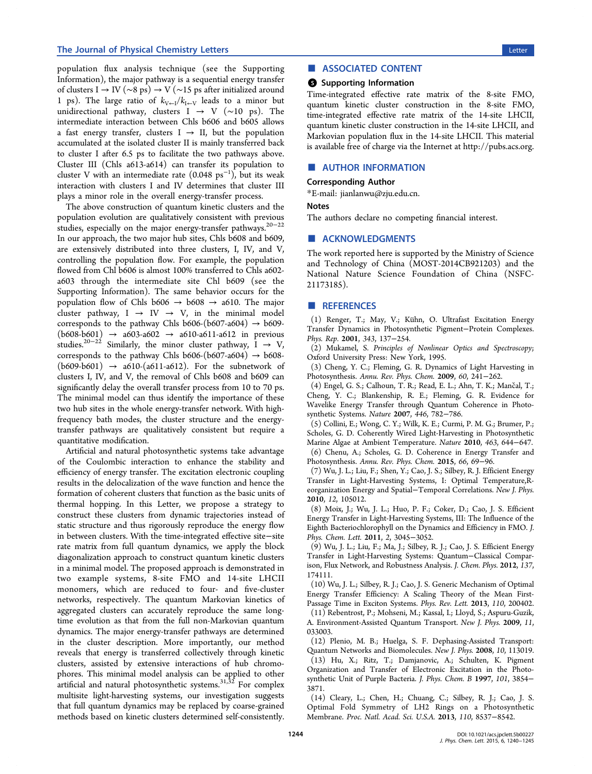<span id="page-4-0"></span>population flux analysis technique (see the Supporting Information), the major pathway is a sequential energy transfer of clusters I → IV (∼8 ps) → V (∼15 ps after initialized around 1 ps). The large ratio of  $k_{V\leftarrow I}/k_{I\leftarrow V}$  leads to a minor but unidirectional pathway, clusters I  $\rightarrow$  V (~10 ps). The intermediate interaction between Chls b606 and b605 allows a fast energy transfer, clusters  $I \rightarrow II$ , but the population accumulated at the isolated cluster II is mainly transferred back to cluster I after 6.5 ps to facilitate the two pathways above. Cluster III (Chls a613-a614) can transfer its population to cluster V with an intermediate rate  $(0.048 \text{ ps}^{-1})$ , but its weak interaction with clusters I and IV determines that cluster III plays a minor role in the overall energy-transfer process.

The above construction of quantum kinetic clusters and the population evolution are qualitatively consistent with previous studies, especially on the major energy-transfer pathways.20−<sup>22</sup> In our approach, the two major hub sites, Chls b608 and b609, are extensively distributed into three clusters, I, IV, a[nd V,](#page-5-0) controlling the population flow. For example, the population flowed from Chl b606 is almost 100% transferred to Chls a602 a603 through the intermediate site Chl b609 (see the Supporting Information). The same behavior occurs for the population flow of Chls b606  $\rightarrow$  b608  $\rightarrow$  a610. The major cluster pathway,  $I \rightarrow IV \rightarrow V$ , in the minimal model corresponds to the pathway Chls b606-(b607-a604)  $\rightarrow$  b609- $(b608-b601) \rightarrow a603-a602 \rightarrow a610-a611-a612$  in previous studies.<sup>20−22</sup> Similarly, the minor cluster pathway, I  $\rightarrow$  V, corresponds to the pathway Chls b606-(b607-a604)  $\rightarrow$  b608 $(b609-b601)$  $(b609-b601)$  $(b609-b601)$  $(b609-b601)$   $\rightarrow$  a610-(a611-a612). For the subnetwork of clusters I, IV, and V, the removal of Chls b608 and b609 can significantly delay the overall transfer process from 10 to 70 ps. The minimal model can thus identify the importance of these two hub sites in the whole energy-transfer network. With highfrequency bath modes, the cluster structure and the energytransfer pathways are qualitatively consistent but require a quantitative modification.

Artificial and natural photosynthetic systems take advantage of the Coulombic interaction to enhance the stability and efficiency of energy transfer. The excitation electronic coupling results in the delocalization of the wave function and hence the formation of coherent clusters that function as the basic units of thermal hopping. In this Letter, we propose a strategy to construct these clusters from dynamic trajectories instead of static structure and thus rigorously reproduce the energy flow in between clusters. With the time-integrated effective site−site rate matrix from full quantum dynamics, we apply the block diagonalization approach to construct quantum kinetic clusters in a minimal model. The proposed approach is demonstrated in two example systems, 8-site FMO and 14-site LHCII monomers, which are reduced to four- and five-cluster networks, respectively. The quantum Markovian kinetics of aggregated clusters can accurately reproduce the same longtime evolution as that from the full non-Markovian quantum dynamics. The major energy-transfer pathways are determined in the cluster description. More importantly, our method reveals that energy is transferred collectively through kinetic clusters, assisted by extensive interactions of hub chromophores. This minimal model analysis can be applied to other artificial and natural photosynthetic systems.<sup>31,52</sup> For complex multisite light-harvesting systems, our investigation suggests that full quantum dynamics may be replaced [by c](#page-5-0)oarse-grained methods based on kinetic clusters determined self-consistently.

### ■ ASSOCIATED CONTENT

#### **6** Supporting Information

Time-integrated effective rate matrix of the 8-site FMO, quantum kinetic cluster construction in the 8-site FMO, time-integrated effective rate matrix of the 14-site LHCII, quantum kinetic cluster construction in the 14-site LHCII, and Markovian population flux in the 14-site LHCII. This material is available free of charge via the Internet at http://pubs.acs.org.

## ■ AUTHOR INFORMATION

#### Corresponding Author

\*E-mail: jianlanwu@zju.edu.cn.

#### Notes

The auth[ors declare no compe](mailto:jianlanwu@zju.edu.cn)ting financial interest.

#### ■ ACKNOWLEDGMENTS

The work reported here is supported by the Ministry of Science and Technology of China (MOST-2014CB921203) and the National Nature Science Foundation of China (NSFC-21173185).

#### ■ REFERENCES

(1) Renger, T.; May, V.; Kü hn, O. Ultrafast Excitation Energy Transfer Dynamics in Photosynthetic Pigment−Protein Complexes. Phys. Rep. 2001, 343, 137−254.

(2) Mukamel, S. Principles of Nonlinear Optics and Spectroscopy; Oxford University Press: New York, 1995.

(3) Cheng, Y. C.; Fleming, G. R. Dynamics of Light Harvesting in Photosynthesis. Annu. Rev. Phys. Chem. 2009, 60, 241−262.

(4) Engel, G. S.; Calhoun, T. R.; Read, E. L.; Ahn, T. K.; Mancal, T.; ̌ Cheng, Y. C.; Blankenship, R. E.; Fleming, G. R. Evidence for Wavelike Energy Transfer through Quantum Coherence in Photosynthetic Systems. Nature 2007, 446, 782−786.

(5) Collini, E.; Wong, C. Y.; Wilk, K. E.; Curmi, P. M. G.; Brumer, P.; Scholes, G. D. Coherently Wired Light-Harvesting in Photosynthetic Marine Algae at Ambient Temperature. Nature 2010, 463, 644−647.

(6) Chenu, A.; Scholes, G. D. Coherence in Energy Transfer and Photosynthesis. Annu. Rev. Phys. Chem. 2015, 66, 69−96.

(7) Wu, J. L.; Liu, F.; Shen, Y.; Cao, J. S.; Silbey, R. J. Efficient Energy Transfer in Light-Harvesting Systems, I: Optimal Temperature,Reorganization Energy and Spatial−Temporal Correlations. New J. Phys. 2010, 12, 105012.

(8) Moix, J.; Wu, J. L.; Huo, P. F.; Coker, D.; Cao, J. S. Efficient Energy Transfer in Light-Harvesting Systems, III: The Influence of the Eighth Bacteriochlorophyll on the Dynamics and Efficiency in FMO. J. Phys. Chem. Lett. 2011, 2, 3045−3052.

(9) Wu, J. L.; Liu, F.; Ma, J.; Silbey, R. J.; Cao, J. S. Efficient Energy Transfer in Light-Harvesting Systems: Quantum−Classical Comparison, Flux Network, and Robustness Analysis. J. Chem. Phys. 2012, 137, 174111.

(10) Wu, J. L.; Silbey, R. J.; Cao, J. S. Generic Mechanism of Optimal Energy Transfer Efficiency: A Scaling Theory of the Mean First-Passage Time in Exciton Systems. Phys. Rev. Lett. 2013, 110, 200402.

(11) Rebentrost, P.; Mohseni, M.; Kassal, I.; Lloyd, S.; Aspuru-Guzik, A. Environment-Assisted Quantum Transport. New J. Phys. 2009, 11, 033003.

(12) Plenio, M. B.; Huelga, S. F. Dephasing-Assisted Transport: Quantum Networks and Biomolecules. New J. Phys. 2008, 10, 113019. (13) Hu, X.; Ritz, T.; Damjanovic, A.; Schulten, K. Pigment Organization and Transfer of Electronic Excitation in the Photosynthetic Unit of Purple Bacteria. J. Phys. Chem. B 1997, 101, 3854− 3871.

(14) Cleary, L.; Chen, H.; Chuang, C.; Silbey, R. J.; Cao, J. S. Optimal Fold Symmetry of LH2 Rings on a Photosynthetic Membrane. Proc. Natl. Acad. Sci. U.S.A. 2013, 110, 8537−8542.